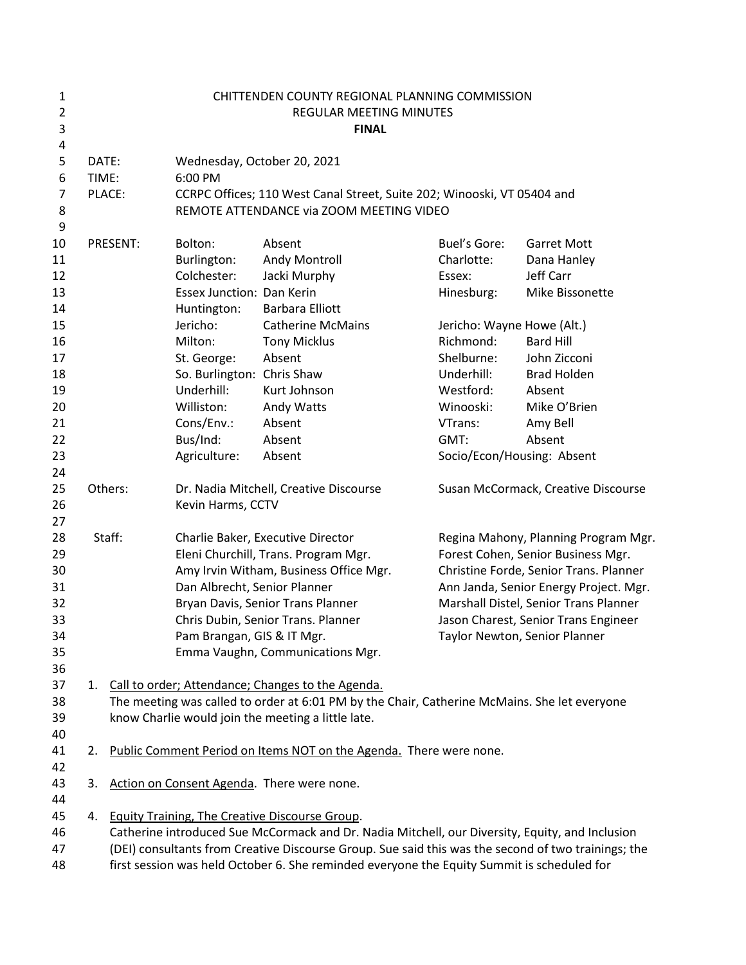| $\mathbf{1}$<br>$\overline{2}$<br>3<br>4 |                |                                                                                                                                                      |                                                                                                                   | CHITTENDEN COUNTY REGIONAL PLANNING COMMISSION<br>REGULAR MEETING MINUTES<br><b>FINAL</b>           |                                      |                                        |  |
|------------------------------------------|----------------|------------------------------------------------------------------------------------------------------------------------------------------------------|-------------------------------------------------------------------------------------------------------------------|-----------------------------------------------------------------------------------------------------|--------------------------------------|----------------------------------------|--|
| 5<br>6<br>$\overline{7}$                 | DATE:<br>TIME: | PLACE:                                                                                                                                               | Wednesday, October 20, 2021<br>6:00 PM<br>CCRPC Offices; 110 West Canal Street, Suite 202; Winooski, VT 05404 and |                                                                                                     |                                      |                                        |  |
| 8<br>9                                   |                |                                                                                                                                                      |                                                                                                                   | REMOTE ATTENDANCE via ZOOM MEETING VIDEO                                                            |                                      |                                        |  |
| 10                                       |                | PRESENT:                                                                                                                                             | Bolton:                                                                                                           | Absent                                                                                              | Buel's Gore:                         | <b>Garret Mott</b>                     |  |
| 11                                       |                |                                                                                                                                                      | Burlington:                                                                                                       | Andy Montroll                                                                                       | Charlotte:                           | Dana Hanley                            |  |
| 12                                       |                |                                                                                                                                                      | Colchester:                                                                                                       | Jacki Murphy                                                                                        | Essex:                               | Jeff Carr                              |  |
| 13                                       |                |                                                                                                                                                      | Essex Junction: Dan Kerin                                                                                         |                                                                                                     | Hinesburg:                           | Mike Bissonette                        |  |
| 14                                       |                |                                                                                                                                                      | Huntington:                                                                                                       | <b>Barbara Elliott</b>                                                                              |                                      |                                        |  |
| 15                                       |                |                                                                                                                                                      | Jericho:                                                                                                          | <b>Catherine McMains</b>                                                                            | Jericho: Wayne Howe (Alt.)           |                                        |  |
| 16                                       |                |                                                                                                                                                      | Milton:                                                                                                           | <b>Tony Micklus</b>                                                                                 | Richmond:                            | <b>Bard Hill</b>                       |  |
| 17                                       |                |                                                                                                                                                      | St. George:                                                                                                       | Absent                                                                                              | Shelburne:                           | John Zicconi                           |  |
| 18                                       |                |                                                                                                                                                      | So. Burlington: Chris Shaw                                                                                        |                                                                                                     | Underhill:                           | <b>Brad Holden</b>                     |  |
| 19<br>20                                 |                |                                                                                                                                                      | Underhill:<br>Williston:                                                                                          | Kurt Johnson                                                                                        | Westford:<br>Winooski:               | Absent<br>Mike O'Brien                 |  |
| 21                                       |                |                                                                                                                                                      | Cons/Env.:                                                                                                        | Andy Watts<br>Absent                                                                                | VTrans:                              | Amy Bell                               |  |
| 22                                       |                |                                                                                                                                                      | Bus/Ind:                                                                                                          | Absent                                                                                              | GMT:                                 | Absent                                 |  |
| 23                                       |                |                                                                                                                                                      | Agriculture:                                                                                                      | Absent                                                                                              |                                      | Socio/Econ/Housing: Absent             |  |
| 24                                       |                |                                                                                                                                                      |                                                                                                                   |                                                                                                     |                                      |                                        |  |
| 25                                       | Others:        |                                                                                                                                                      | Dr. Nadia Mitchell, Creative Discourse                                                                            |                                                                                                     | Susan McCormack, Creative Discourse  |                                        |  |
| 26                                       |                |                                                                                                                                                      | Kevin Harms, CCTV                                                                                                 |                                                                                                     |                                      |                                        |  |
| 27                                       |                |                                                                                                                                                      |                                                                                                                   |                                                                                                     |                                      |                                        |  |
| 28                                       |                | Staff:                                                                                                                                               | Charlie Baker, Executive Director                                                                                 |                                                                                                     | Regina Mahony, Planning Program Mgr. |                                        |  |
| 29                                       |                |                                                                                                                                                      | Eleni Churchill, Trans. Program Mgr.                                                                              |                                                                                                     | Forest Cohen, Senior Business Mgr.   |                                        |  |
| 30                                       |                |                                                                                                                                                      |                                                                                                                   | Amy Irvin Witham, Business Office Mgr.                                                              |                                      | Christine Forde, Senior Trans. Planner |  |
| 31                                       |                |                                                                                                                                                      | Dan Albrecht, Senior Planner                                                                                      |                                                                                                     |                                      | Ann Janda, Senior Energy Project. Mgr. |  |
| 32                                       |                |                                                                                                                                                      |                                                                                                                   | Bryan Davis, Senior Trans Planner                                                                   |                                      | Marshall Distel, Senior Trans Planner  |  |
| 33                                       |                |                                                                                                                                                      |                                                                                                                   | Chris Dubin, Senior Trans. Planner                                                                  |                                      | Jason Charest, Senior Trans Engineer   |  |
| 34                                       |                |                                                                                                                                                      | Pam Brangan, GIS & IT Mgr.                                                                                        |                                                                                                     |                                      | Taylor Newton, Senior Planner          |  |
| 35                                       |                |                                                                                                                                                      |                                                                                                                   | Emma Vaughn, Communications Mgr.                                                                    |                                      |                                        |  |
| 36                                       |                |                                                                                                                                                      |                                                                                                                   |                                                                                                     |                                      |                                        |  |
| 37<br>38                                 |                | 1. Call to order; Attendance; Changes to the Agenda.<br>The meeting was called to order at 6:01 PM by the Chair, Catherine McMains. She let everyone |                                                                                                                   |                                                                                                     |                                      |                                        |  |
| 39                                       |                |                                                                                                                                                      |                                                                                                                   | know Charlie would join the meeting a little late.                                                  |                                      |                                        |  |
| 40                                       |                |                                                                                                                                                      |                                                                                                                   |                                                                                                     |                                      |                                        |  |
| 41                                       | 2.             |                                                                                                                                                      |                                                                                                                   | Public Comment Period on Items NOT on the Agenda. There were none.                                  |                                      |                                        |  |
| 42                                       |                |                                                                                                                                                      |                                                                                                                   |                                                                                                     |                                      |                                        |  |
| 43                                       | 3.             |                                                                                                                                                      |                                                                                                                   | Action on Consent Agenda. There were none.                                                          |                                      |                                        |  |
| 44                                       |                |                                                                                                                                                      |                                                                                                                   |                                                                                                     |                                      |                                        |  |
| 45                                       |                |                                                                                                                                                      |                                                                                                                   | 4. Equity Training, The Creative Discourse Group.                                                   |                                      |                                        |  |
| 46                                       |                |                                                                                                                                                      |                                                                                                                   | Catherine introduced Sue McCormack and Dr. Nadia Mitchell, our Diversity, Equity, and Inclusion     |                                      |                                        |  |
| 47                                       |                |                                                                                                                                                      |                                                                                                                   | (DEI) consultants from Creative Discourse Group. Sue said this was the second of two trainings; the |                                      |                                        |  |
| 48                                       |                |                                                                                                                                                      |                                                                                                                   | first session was held October 6. She reminded everyone the Equity Summit is scheduled for          |                                      |                                        |  |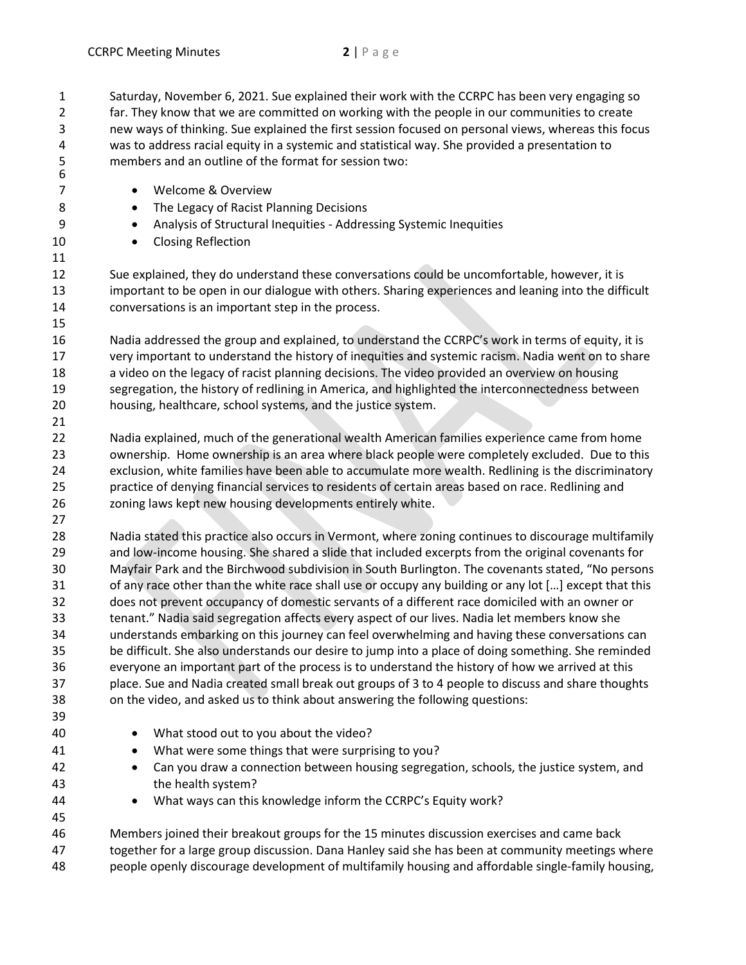Saturday, November 6, 2021. Sue explained their work with the CCRPC has been very engaging so far. They know that we are committed on working with the people in our communities to create new ways of thinking. Sue explained the first session focused on personal views, whereas this focus was to address racial equity in a systemic and statistical way. She provided a presentation to members and an outline of the format for session two: 

- Welcome & Overview
- 8 The Legacy of Racist Planning Decisions
- Analysis of Structural Inequities Addressing Systemic Inequities
- 10 Closing Reflection

 Sue explained, they do understand these conversations could be uncomfortable, however, it is important to be open in our dialogue with others. Sharing experiences and leaning into the difficult conversations is an important step in the process.

 Nadia addressed the group and explained, to understand the CCRPC's work in terms of equity, it is very important to understand the history of inequities and systemic racism. Nadia went on to share a video on the legacy of racist planning decisions. The video provided an overview on housing segregation, the history of redlining in America, and highlighted the interconnectedness between housing, healthcare, school systems, and the justice system.

 Nadia explained, much of the generational wealth American families experience came from home ownership. Home ownership is an area where black people were completely excluded. Due to this exclusion, white families have been able to accumulate more wealth. Redlining is the discriminatory practice of denying financial services to residents of certain areas based on race. Redlining and zoning laws kept new housing developments entirely white.

 Nadia stated this practice also occurs in Vermont, where zoning continues to discourage multifamily and low-income housing. She shared a slide that included excerpts from the original covenants for Mayfair Park and the Birchwood subdivision in South Burlington. The covenants stated, "No persons 31 of any race other than the white race shall use or occupy any building or any lot [...] except that this does not prevent occupancy of domestic servants of a different race domiciled with an owner or tenant." Nadia said segregation affects every aspect of our lives. Nadia let members know she understands embarking on this journey can feel overwhelming and having these conversations can be difficult. She also understands our desire to jump into a place of doing something. She reminded everyone an important part of the process is to understand the history of how we arrived at this place. Sue and Nadia created small break out groups of 3 to 4 people to discuss and share thoughts on the video, and asked us to think about answering the following questions:

- What stood out to you about the video?
- 41 What were some things that were surprising to you?
- Can you draw a connection between housing segregation, schools, the justice system, and the health system?
- 44 What ways can this knowledge inform the CCRPC's Equity work?

 Members joined their breakout groups for the 15 minutes discussion exercises and came back together for a large group discussion. Dana Hanley said she has been at community meetings where people openly discourage development of multifamily housing and affordable single-family housing,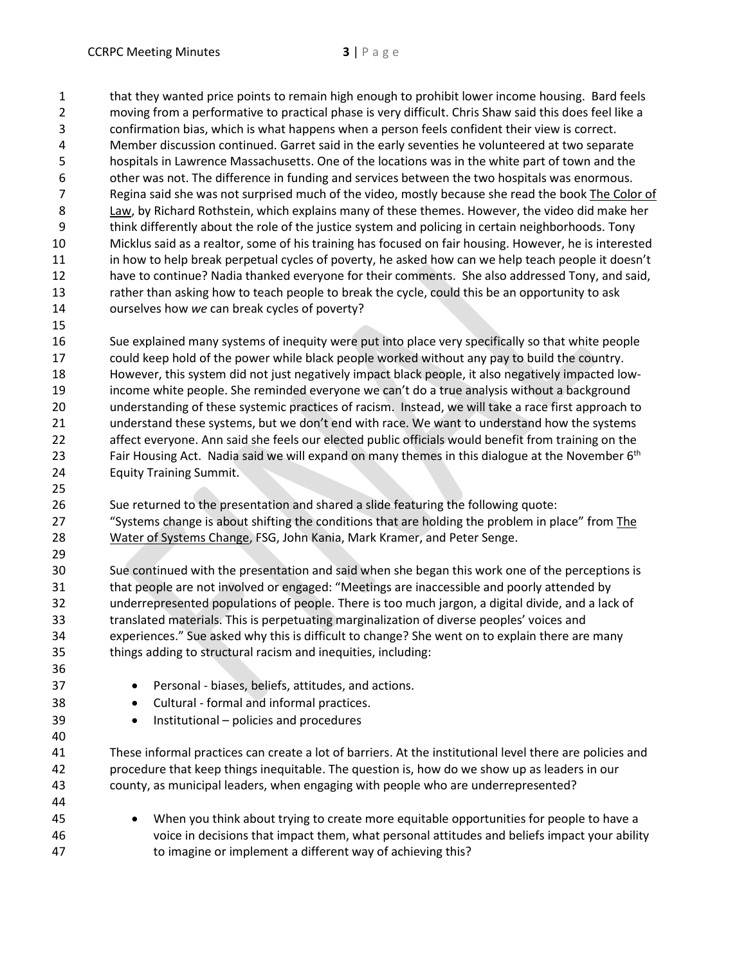that they wanted price points to remain high enough to prohibit lower income housing. Bard feels moving from a performative to practical phase is very difficult. Chris Shaw said this does feel like a confirmation bias, which is what happens when a person feels confident their view is correct. Member discussion continued. Garret said in the early seventies he volunteered at two separate hospitals in Lawrence Massachusetts. One of the locations was in the white part of town and the other was not. The difference in funding and services between the two hospitals was enormous. Regina said she was not surprised much of the video, mostly because she read the book The Color of Law, by Richard Rothstein, which explains many of these themes. However, the video did make her think differently about the role of the justice system and policing in certain neighborhoods. Tony Micklus said as a realtor, some of his training has focused on fair housing. However, he is interested in how to help break perpetual cycles of poverty, he asked how can we help teach people it doesn't have to continue? Nadia thanked everyone for their comments. She also addressed Tony, and said, 13 rather than asking how to teach people to break the cycle, could this be an opportunity to ask ourselves how *we* can break cycles of poverty?

 Sue explained many systems of inequity were put into place very specifically so that white people could keep hold of the power while black people worked without any pay to build the country. However, this system did not just negatively impact black people, it also negatively impacted low- income white people. She reminded everyone we can't do a true analysis without a background understanding of these systemic practices of racism. Instead, we will take a race first approach to understand these systems, but we don't end with race. We want to understand how the systems affect everyone. Ann said she feels our elected public officials would benefit from training on the Fair Housing Act. Nadia said we will expand on many themes in this dialogue at the November 6<sup>th</sup> Equity Training Summit.

 Sue returned to the presentation and shared a slide featuring the following quote: "Systems change is about shifting the conditions that are holding the problem in place" from The Water of Systems Change, FSG, John Kania, Mark Kramer, and Peter Senge.

 Sue continued with the presentation and said when she began this work one of the perceptions is that people are not involved or engaged: "Meetings are inaccessible and poorly attended by underrepresented populations of people. There is too much jargon, a digital divide, and a lack of translated materials. This is perpetuating marginalization of diverse peoples' voices and experiences." Sue asked why this is difficult to change? She went on to explain there are many things adding to structural racism and inequities, including:

- Personal biases, beliefs, attitudes, and actions.
- Cultural formal and informal practices.
- Institutional policies and procedures

 These informal practices can create a lot of barriers. At the institutional level there are policies and procedure that keep things inequitable. The question is, how do we show up as leaders in our county, as municipal leaders, when engaging with people who are underrepresented?

 • When you think about trying to create more equitable opportunities for people to have a voice in decisions that impact them, what personal attitudes and beliefs impact your ability to imagine or implement a different way of achieving this?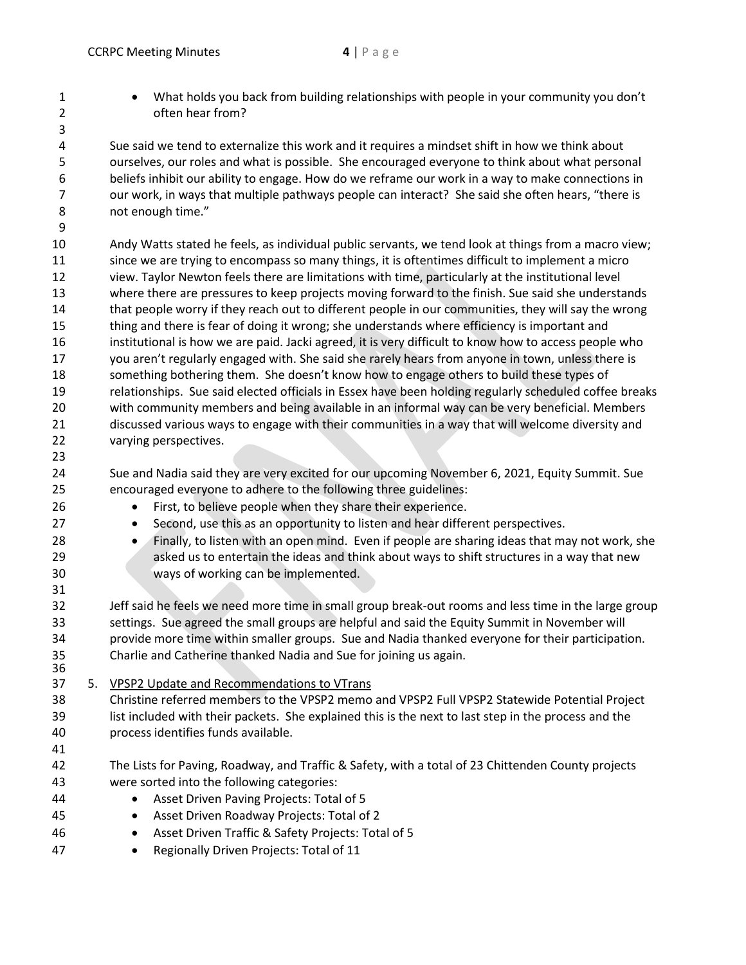• What holds you back from building relationships with people in your community you don't often hear from?

 Sue said we tend to externalize this work and it requires a mindset shift in how we think about ourselves, our roles and what is possible. She encouraged everyone to think about what personal beliefs inhibit our ability to engage. How do we reframe our work in a way to make connections in 7 our work, in ways that multiple pathways people can interact? She said she often hears, "there is not enough time."

 Andy Watts stated he feels, as individual public servants, we tend look at things from a macro view; since we are trying to encompass so many things, it is oftentimes difficult to implement a micro view. Taylor Newton feels there are limitations with time, particularly at the institutional level where there are pressures to keep projects moving forward to the finish. Sue said she understands that people worry if they reach out to different people in our communities, they will say the wrong 15 thing and there is fear of doing it wrong; she understands where efficiency is important and institutional is how we are paid. Jacki agreed, it is very difficult to know how to access people who you aren't regularly engaged with. She said she rarely hears from anyone in town, unless there is something bothering them. She doesn't know how to engage others to build these types of relationships. Sue said elected officials in Essex have been holding regularly scheduled coffee breaks with community members and being available in an informal way can be very beneficial. Members discussed various ways to engage with their communities in a way that will welcome diversity and varying perspectives.

- Sue and Nadia said they are very excited for our upcoming November 6, 2021, Equity Summit. Sue encouraged everyone to adhere to the following three guidelines:
- First, to believe people when they share their experience.
- Second, use this as an opportunity to listen and hear different perspectives.
- Finally, to listen with an open mind. Even if people are sharing ideas that may not work, she asked us to entertain the ideas and think about ways to shift structures in a way that new ways of working can be implemented.

 Jeff said he feels we need more time in small group break-out rooms and less time in the large group settings. Sue agreed the small groups are helpful and said the Equity Summit in November will provide more time within smaller groups. Sue and Nadia thanked everyone for their participation. Charlie and Catherine thanked Nadia and Sue for joining us again.

- 
- 37 5. VPSP2 Update and Recommendations to VTrans

 Christine referred members to the VPSP2 memo and VPSP2 Full VPSP2 Statewide Potential Project list included with their packets. She explained this is the next to last step in the process and the process identifies funds available.

- 
- The Lists for Paving, Roadway, and Traffic & Safety, with a total of 23 Chittenden County projects were sorted into the following categories:
- Asset Driven Paving Projects: Total of 5
- Asset Driven Roadway Projects: Total of 2
- Asset Driven Traffic & Safety Projects: Total of 5
- 47 Regionally Driven Projects: Total of 11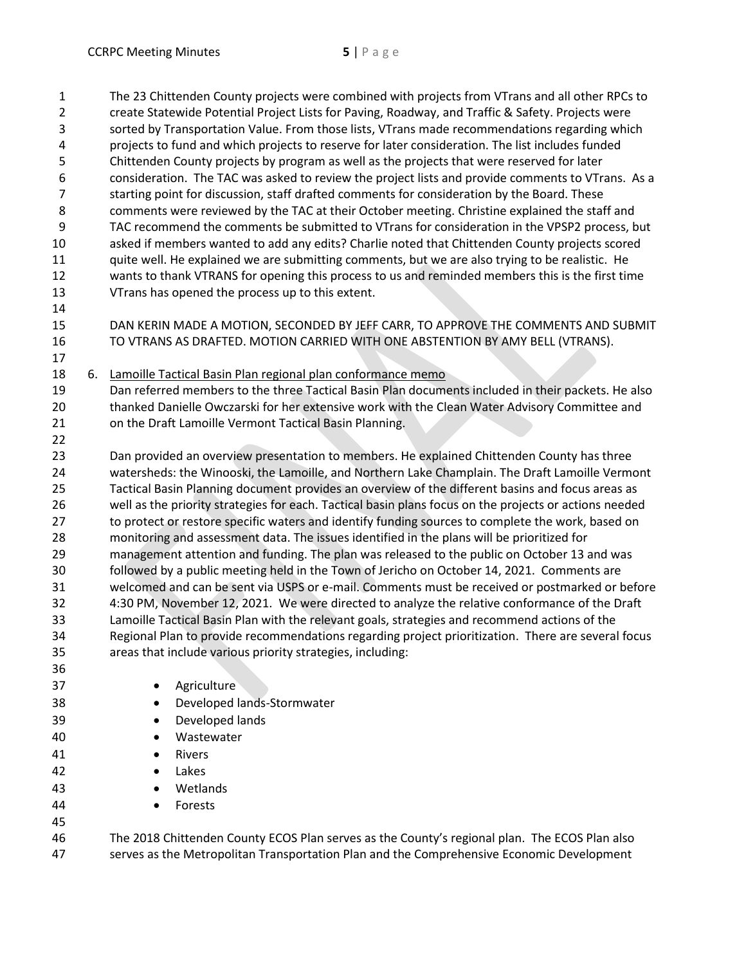The 23 Chittenden County projects were combined with projects from VTrans and all other RPCs to create Statewide Potential Project Lists for Paving, Roadway, and Traffic & Safety. Projects were sorted by Transportation Value. From those lists, VTrans made recommendations regarding which projects to fund and which projects to reserve for later consideration. The list includes funded Chittenden County projects by program as well as the projects that were reserved for later consideration. The TAC was asked to review the project lists and provide comments to VTrans. As a starting point for discussion, staff drafted comments for consideration by the Board. These comments were reviewed by the TAC at their October meeting. Christine explained the staff and TAC recommend the comments be submitted to VTrans for consideration in the VPSP2 process, but asked if members wanted to add any edits? Charlie noted that Chittenden County projects scored quite well. He explained we are submitting comments, but we are also trying to be realistic. He wants to thank VTRANS for opening this process to us and reminded members this is the first time VTrans has opened the process up to this extent. 

DAN KERIN MADE A MOTION, SECONDED BY JEFF CARR, TO APPROVE THE COMMENTS AND SUBMIT

 TO VTRANS AS DRAFTED. MOTION CARRIED WITH ONE ABSTENTION BY AMY BELL (VTRANS). 

6. Lamoille Tactical Basin Plan regional plan conformance memo

 Dan referred members to the three Tactical Basin Plan documents included in their packets. He also thanked Danielle Owczarski for her extensive work with the Clean Water Advisory Committee and on the Draft Lamoille Vermont Tactical Basin Planning.

 Dan provided an overview presentation to members. He explained Chittenden County has three watersheds: the Winooski, the Lamoille, and Northern Lake Champlain. The Draft Lamoille Vermont Tactical Basin Planning document provides an overview of the different basins and focus areas as well as the priority strategies for each. Tactical basin plans focus on the projects or actions needed 27 to protect or restore specific waters and identify funding sources to complete the work, based on monitoring and assessment data. The issues identified in the plans will be prioritized for management attention and funding. The plan was released to the public on October 13 and was followed by a public meeting held in the Town of Jericho on October 14, 2021. Comments are welcomed and can be sent via USPS or e-mail. Comments must be received or postmarked or before 4:30 PM, November 12, 2021. We were directed to analyze the relative conformance of the Draft Lamoille Tactical Basin Plan with the relevant goals, strategies and recommend actions of the Regional Plan to provide recommendations regarding project prioritization. There are several focus areas that include various priority strategies, including:

 • Agriculture • Developed lands-Stormwater • Developed lands • Wastewater 41 • Rivers • Lakes • Wetlands **•** Forests 

 The 2018 Chittenden County ECOS Plan serves as the County's regional plan. The ECOS Plan also serves as the Metropolitan Transportation Plan and the Comprehensive Economic Development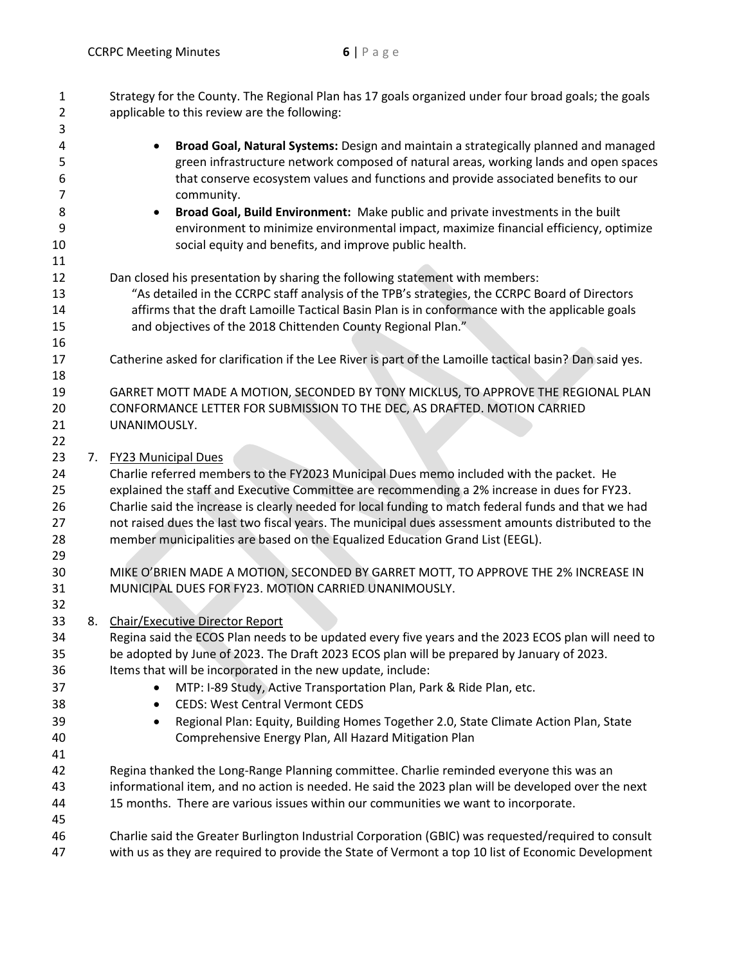| 1<br>$\overline{2}$<br>3               | Strategy for the County. The Regional Plan has 17 goals organized under four broad goals; the goals<br>applicable to this review are the following:                                                                                                                                                                                                                                                                                                                                                               |
|----------------------------------------|-------------------------------------------------------------------------------------------------------------------------------------------------------------------------------------------------------------------------------------------------------------------------------------------------------------------------------------------------------------------------------------------------------------------------------------------------------------------------------------------------------------------|
| 4<br>5<br>6<br>$\overline{7}$          | Broad Goal, Natural Systems: Design and maintain a strategically planned and managed<br>$\bullet$<br>green infrastructure network composed of natural areas, working lands and open spaces<br>that conserve ecosystem values and functions and provide associated benefits to our<br>community.                                                                                                                                                                                                                   |
| 8<br>9<br>10<br>11                     | Broad Goal, Build Environment: Make public and private investments in the built<br>environment to minimize environmental impact, maximize financial efficiency, optimize<br>social equity and benefits, and improve public health.                                                                                                                                                                                                                                                                                |
| 12<br>13<br>14<br>15<br>16             | Dan closed his presentation by sharing the following statement with members:<br>"As detailed in the CCRPC staff analysis of the TPB's strategies, the CCRPC Board of Directors<br>affirms that the draft Lamoille Tactical Basin Plan is in conformance with the applicable goals<br>and objectives of the 2018 Chittenden County Regional Plan."                                                                                                                                                                 |
| 17<br>18                               | Catherine asked for clarification if the Lee River is part of the Lamoille tactical basin? Dan said yes.                                                                                                                                                                                                                                                                                                                                                                                                          |
| 19<br>20<br>21<br>22                   | GARRET MOTT MADE A MOTION, SECONDED BY TONY MICKLUS, TO APPROVE THE REGIONAL PLAN<br>CONFORMANCE LETTER FOR SUBMISSION TO THE DEC, AS DRAFTED. MOTION CARRIED<br>UNANIMOUSLY.                                                                                                                                                                                                                                                                                                                                     |
| 23<br>24<br>25<br>26<br>27<br>28<br>29 | 7. FY23 Municipal Dues<br>Charlie referred members to the FY2023 Municipal Dues memo included with the packet. He<br>explained the staff and Executive Committee are recommending a 2% increase in dues for FY23.<br>Charlie said the increase is clearly needed for local funding to match federal funds and that we had<br>not raised dues the last two fiscal years. The municipal dues assessment amounts distributed to the<br>member municipalities are based on the Equalized Education Grand List (EEGL). |
| 30<br>31<br>32                         | MIKE O'BRIEN MADE A MOTION, SECONDED BY GARRET MOTT, TO APPROVE THE 2% INCREASE IN<br>MUNICIPAL DUES FOR FY23. MOTION CARRIED UNANIMOUSLY.                                                                                                                                                                                                                                                                                                                                                                        |
| 33<br>34<br>35<br>36<br>37<br>38       | 8. Chair/Executive Director Report<br>Regina said the ECOS Plan needs to be updated every five years and the 2023 ECOS plan will need to<br>be adopted by June of 2023. The Draft 2023 ECOS plan will be prepared by January of 2023.<br>Items that will be incorporated in the new update, include:<br>MTP: I-89 Study, Active Transportation Plan, Park & Ride Plan, etc.<br><b>CEDS: West Central Vermont CEDS</b><br>٠                                                                                        |
| 39<br>40<br>41                         | Regional Plan: Equity, Building Homes Together 2.0, State Climate Action Plan, State<br>$\bullet$<br>Comprehensive Energy Plan, All Hazard Mitigation Plan                                                                                                                                                                                                                                                                                                                                                        |
| 42<br>43<br>44                         | Regina thanked the Long-Range Planning committee. Charlie reminded everyone this was an<br>informational item, and no action is needed. He said the 2023 plan will be developed over the next<br>15 months. There are various issues within our communities we want to incorporate.                                                                                                                                                                                                                               |
| 45<br>46<br>47                         | Charlie said the Greater Burlington Industrial Corporation (GBIC) was requested/required to consult<br>with us as they are required to provide the State of Vermont a top 10 list of Economic Development                                                                                                                                                                                                                                                                                                         |